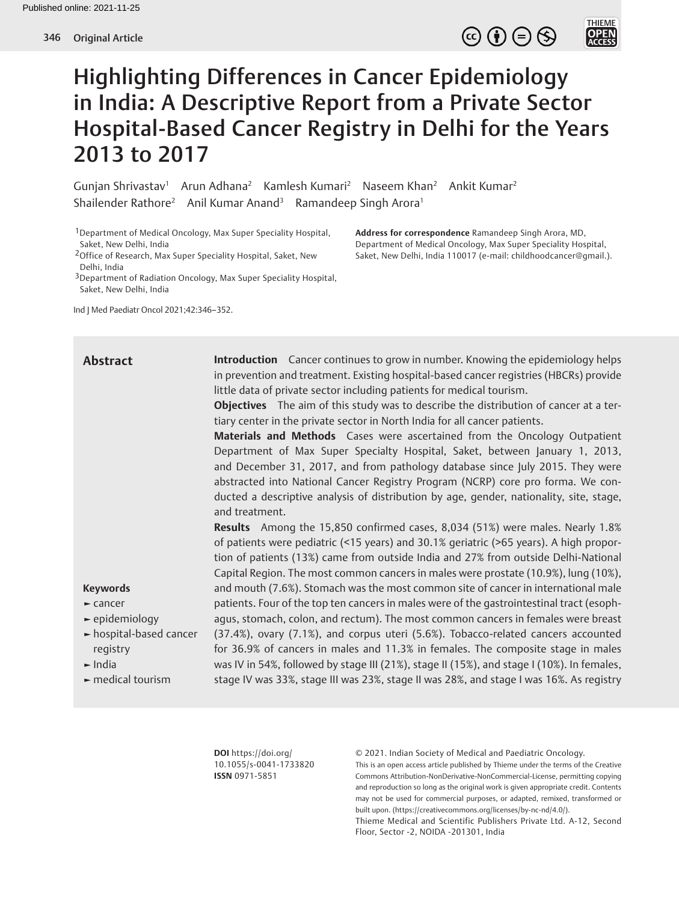# THIEME<br>**OPEN**<br>ACCESS

## Highlighting Differences in Cancer Epidemiology in India: A Descriptive Report from a Private Sector Hospital-Based Cancer Registry in Delhi for the Years 2013 to 2017

Gunjan Shrivastav<sup>1</sup> Arun Adhana<sup>2</sup> Kamlesh Kumari<sup>2</sup> Naseem Khan<sup>2</sup> Ankit Kumar<sup>2</sup> Shailender Rathore<sup>2</sup> Anil Kumar Anand<sup>3</sup> Ramandeep Singh Arora<sup>1</sup>

1Department of Medical Oncology, Max Super Speciality Hospital, Saket, New Delhi, India

2Office of Research, Max Super Speciality Hospital, Saket, New Delhi, India

3Department of Radiation Oncology, Max Super Speciality Hospital, Saket, New Delhi, India

Ind J Med Paediatr Oncol 2021;42:346–352.

**Address for correspondence** Ramandeep Singh Arora, MD, Department of Medical Oncology, Max Super Speciality Hospital, Saket, New Delhi, India 110017 (e-mail: childhoodcancer@gmail.).

**Introduction** Cancer continues to grow in number. Knowing the epidemiology helps in prevention and treatment. Existing hospital-based cancer registries (HBCRs) provide little data of private sector including patients for medical tourism. **Objectives** The aim of this study was to describe the distribution of cancer at a tertiary center in the private sector in North India for all cancer patients. **Materials and Methods** Cases were ascertained from the Oncology Outpatient Department of Max Super Specialty Hospital, Saket, between January 1, 2013, and December 31, 2017, and from pathology database since July 2015. They were abstracted into National Cancer Registry Program (NCRP) core pro forma. We conducted a descriptive analysis of distribution by age, gender, nationality, site, stage, and treatment. **Results** Among the 15,850 confirmed cases, 8,034 (51%) were males. Nearly 1.8% of patients were pediatric (<15 years) and 30.1% geriatric (>65 years). A high proportion of patients (13%) came from outside India and 27% from outside Delhi-National Capital Region. The most common cancers in males were prostate (10.9%), lung (10%), and mouth (7.6%). Stomach was the most common site of cancer in international male patients. Four of the top ten cancers in males were of the gastrointestinal tract (esophagus, stomach, colon, and rectum). The most common cancers in females were breast (37.4%), ovary (7.1%), and corpus uteri (5.6%). Tobacco-related cancers accounted for 36.9% of cancers in males and 11.3% in females. The composite stage in males was IV in 54%, followed by stage III (21%), stage II (15%), and stage I (10%). In females, stage IV was 33%, stage III was 23%, stage II was 28%, and stage I was 16%. As registry **Abstract Keywords ►** cancer **►** epidemiology **►** hospital-based cancer registry **►** India **►** medical tourism

> **DOI** https://doi.org/ 10.1055/s-0041-1733820 **ISSN** 0971-5851

© 2021. Indian Society of Medical and Paediatric Oncology. This is an open access article published by Thieme under the terms of the Creative Commons Attribution-NonDerivative-NonCommercial-License, permitting copying and reproduction so long as the original work is given appropriate credit. Contents may not be used for commercial purposes, or adapted, remixed, transformed or built upon. (https://creativecommons.org/licenses/by-nc-nd/4.0/).

Thieme Medical and Scientific Publishers Private Ltd. A-12, Second Floor, Sector -2, NOIDA -201301, India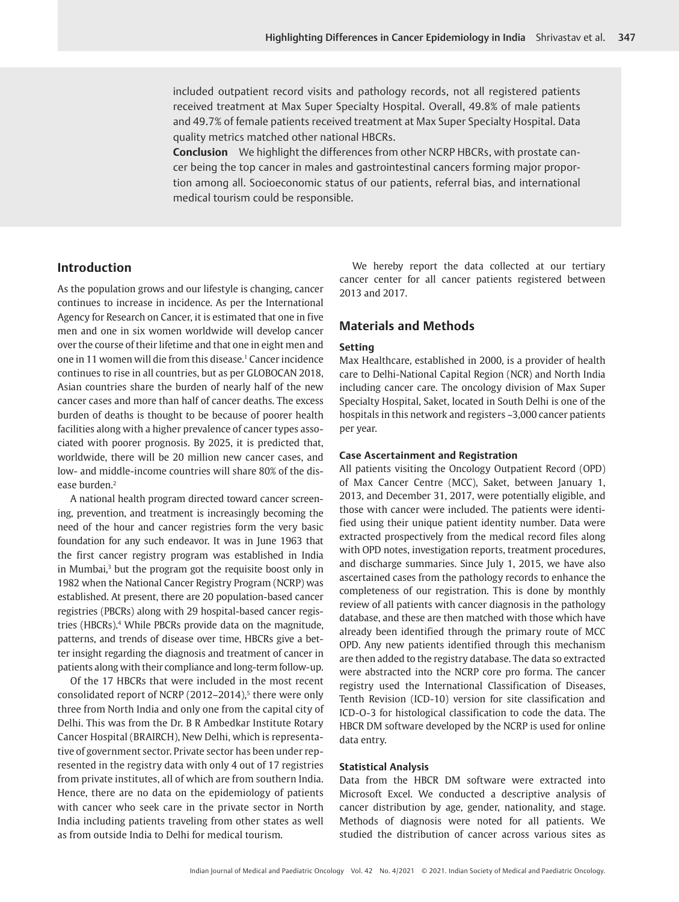included outpatient record visits and pathology records, not all registered patients received treatment at Max Super Specialty Hospital. Overall, 49.8% of male patients and 49.7% of female patients received treatment at Max Super Specialty Hospital. Data quality metrics matched other national HBCRs.

**Conclusion** We highlight the differences from other NCRP HBCRs, with prostate cancer being the top cancer in males and gastrointestinal cancers forming major proportion among all. Socioeconomic status of our patients, referral bias, and international medical tourism could be responsible.

## **Introduction**

As the population grows and our lifestyle is changing, cancer continues to increase in incidence. As per the International Agency for Research on Cancer, it is estimated that one in five men and one in six women worldwide will develop cancer over the course of their lifetime and that one in eight men and one in 11 women will die from this disease.<sup>1</sup> Cancer incidence continues to rise in all countries, but as per GLOBOCAN 2018, Asian countries share the burden of nearly half of the new cancer cases and more than half of cancer deaths. The excess burden of deaths is thought to be because of poorer health facilities along with a higher prevalence of cancer types associated with poorer prognosis. By 2025, it is predicted that, worldwide, there will be 20 million new cancer cases, and low- and middle-income countries will share 80% of the disease burden.2

A national health program directed toward cancer screening, prevention, and treatment is increasingly becoming the need of the hour and cancer registries form the very basic foundation for any such endeavor. It was in June 1963 that the first cancer registry program was established in India in Mumbai,<sup>3</sup> but the program got the requisite boost only in 1982 when the National Cancer Registry Program (NCRP) was established. At present, there are 20 population-based cancer registries (PBCRs) along with 29 hospital-based cancer registries (HBCRs).4 While PBCRs provide data on the magnitude, patterns, and trends of disease over time, HBCRs give a better insight regarding the diagnosis and treatment of cancer in patients along with their compliance and long-term follow-up.

Of the 17 HBCRs that were included in the most recent consolidated report of NCRP  $(2012-2014)$ <sup>5</sup> there were only three from North India and only one from the capital city of Delhi. This was from the Dr. B R Ambedkar Institute Rotary Cancer Hospital (BRAIRCH), New Delhi, which is representative of government sector. Private sector has been under represented in the registry data with only 4 out of 17 registries from private institutes, all of which are from southern India. Hence, there are no data on the epidemiology of patients with cancer who seek care in the private sector in North India including patients traveling from other states as well as from outside India to Delhi for medical tourism.

We hereby report the data collected at our tertiary cancer center for all cancer patients registered between 2013 and 2017.

## **Materials and Methods**

## **Setting**

Max Healthcare, established in 2000, is a provider of health care to Delhi-National Capital Region (NCR) and North India including cancer care. The oncology division of Max Super Specialty Hospital, Saket, located in South Delhi is one of the hospitals in this network and registers ~3,000 cancer patients per year.

#### **Case Ascertainment and Registration**

All patients visiting the Oncology Outpatient Record (OPD) of Max Cancer Centre (MCC), Saket, between January 1, 2013, and December 31, 2017, were potentially eligible, and those with cancer were included. The patients were identified using their unique patient identity number. Data were extracted prospectively from the medical record files along with OPD notes, investigation reports, treatment procedures, and discharge summaries. Since July 1, 2015, we have also ascertained cases from the pathology records to enhance the completeness of our registration. This is done by monthly review of all patients with cancer diagnosis in the pathology database, and these are then matched with those which have already been identified through the primary route of MCC OPD. Any new patients identified through this mechanism are then added to the registry database. The data so extracted were abstracted into the NCRP core pro forma. The cancer registry used the International Classification of Diseases, Tenth Revision (ICD-10) version for site classification and ICD-O-3 for histological classification to code the data. The HBCR DM software developed by the NCRP is used for online data entry.

## **Statistical Analysis**

Data from the HBCR DM software were extracted into Microsoft Excel. We conducted a descriptive analysis of cancer distribution by age, gender, nationality, and stage. Methods of diagnosis were noted for all patients. We studied the distribution of cancer across various sites as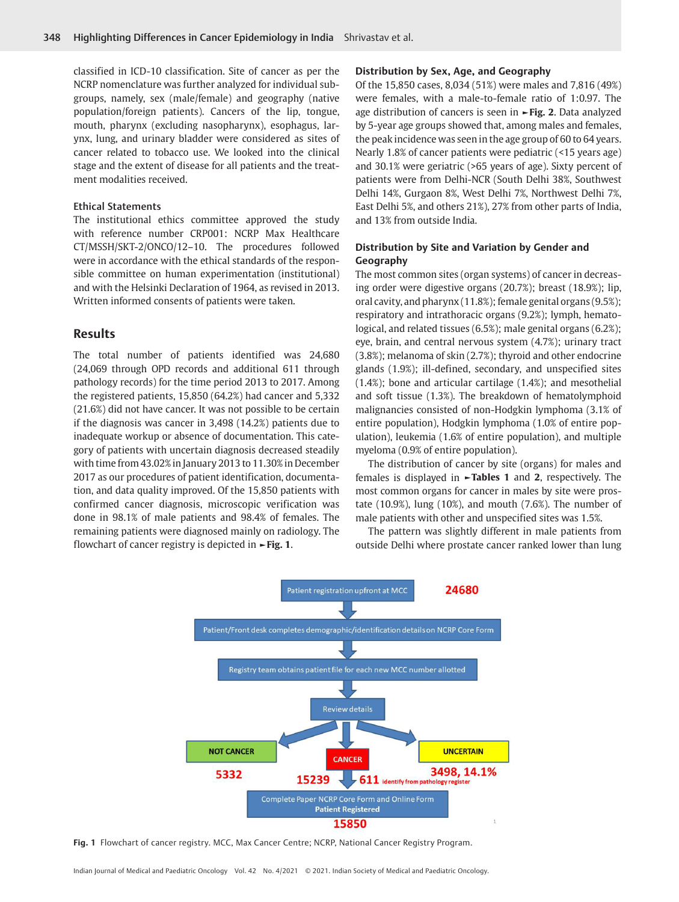classified in ICD-10 classification. Site of cancer as per the NCRP nomenclature was further analyzed for individual subgroups, namely, sex (male/female) and geography (native population/foreign patients). Cancers of the lip, tongue, mouth, pharynx (excluding nasopharynx), esophagus, larynx, lung, and urinary bladder were considered as sites of cancer related to tobacco use. We looked into the clinical stage and the extent of disease for all patients and the treatment modalities received.

#### Ethical Statements

The institutional ethics committee approved the study with reference number CRP001: NCRP Max Healthcare CT/MSSH/SKT-2/ONCO/12–10. The procedures followed were in accordance with the ethical standards of the responsible committee on human experimentation (institutional) and with the Helsinki Declaration of 1964, as revised in 2013. Written informed consents of patients were taken.

## **Results**

The total number of patients identified was 24,680 (24,069 through OPD records and additional 611 through pathology records) for the time period 2013 to 2017. Among the registered patients, 15,850 (64.2%) had cancer and 5,332 (21.6%) did not have cancer. It was not possible to be certain if the diagnosis was cancer in 3,498 (14.2%) patients due to inadequate workup or absence of documentation. This category of patients with uncertain diagnosis decreased steadily with time from 43.02% in January 2013 to 11.30% in December 2017 as our procedures of patient identification, documentation, and data quality improved. Of the 15,850 patients with confirmed cancer diagnosis, microscopic verification was done in 98.1% of male patients and 98.4% of females. The remaining patients were diagnosed mainly on radiology. The flowchart of cancer registry is depicted in **►Fig. 1**.

#### **Distribution by Sex, Age, and Geography**

Of the 15,850 cases, 8,034 (51%) were males and 7,816 (49%) were females, with a male-to-female ratio of 1:0.97. The age distribution of cancers is seen in **►Fig. 2**. Data analyzed by 5-year age groups showed that, among males and females, the peak incidence was seen in the age group of 60 to 64 years. Nearly 1.8% of cancer patients were pediatric (<15 years age) and 30.1% were geriatric (>65 years of age). Sixty percent of patients were from Delhi-NCR (South Delhi 38%, Southwest Delhi 14%, Gurgaon 8%, West Delhi 7%, Northwest Delhi 7%, East Delhi 5%, and others 21%), 27% from other parts of India, and 13% from outside India.

## **Distribution by Site and Variation by Gender and Geography**

The most common sites (organ systems) of cancer in decreasing order were digestive organs (20.7%); breast (18.9%); lip, oral cavity, and pharynx (11.8%); female genital organs (9.5%); respiratory and intrathoracic organs (9.2%); lymph, hematological, and related tissues (6.5%); male genital organs (6.2%); eye, brain, and central nervous system (4.7%); urinary tract (3.8%); melanoma of skin (2.7%); thyroid and other endocrine glands (1.9%); ill-defined, secondary, and unspecified sites (1.4%); bone and articular cartilage (1.4%); and mesothelial and soft tissue (1.3%). The breakdown of hematolymphoid malignancies consisted of non-Hodgkin lymphoma (3.1% of entire population), Hodgkin lymphoma (1.0% of entire population), leukemia (1.6% of entire population), and multiple myeloma (0.9% of entire population).

The distribution of cancer by site (organs) for males and females is displayed in **►Tables 1** and **2**, respectively. The most common organs for cancer in males by site were prostate (10.9%), lung (10%), and mouth (7.6%). The number of male patients with other and unspecified sites was 1.5%.

The pattern was slightly different in male patients from outside Delhi where prostate cancer ranked lower than lung



**Fig. 1** Flowchart of cancer registry. MCC, Max Cancer Centre; NCRP, National Cancer Registry Program.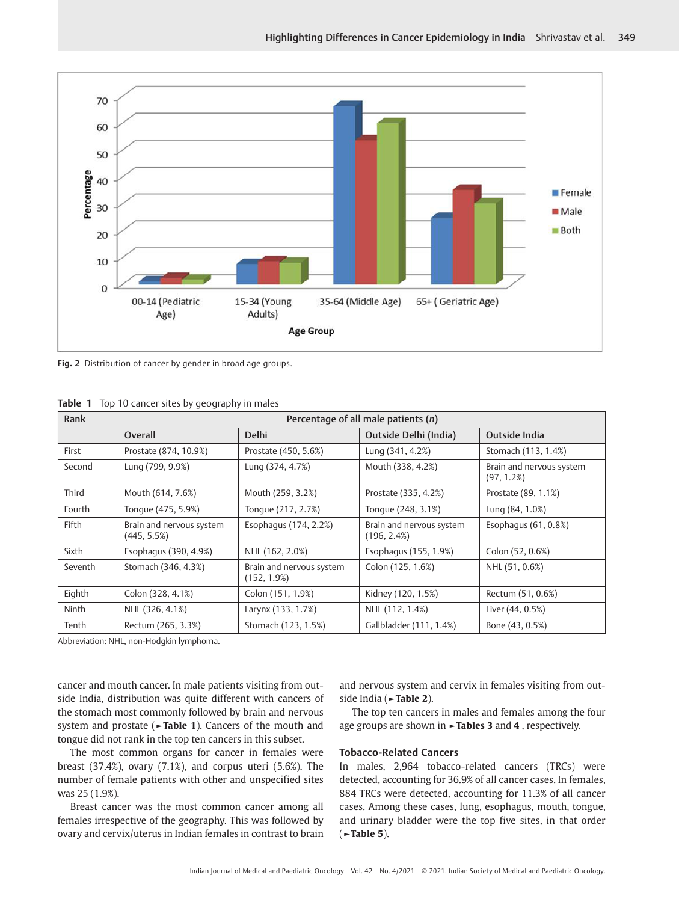

**Fig. 2** Distribution of cancer by gender in broad age groups.

|  |  |  |  |  |  | <b>Table 1</b> Top 10 cancer sites by geography in males |  |  |  |
|--|--|--|--|--|--|----------------------------------------------------------|--|--|--|
|--|--|--|--|--|--|----------------------------------------------------------|--|--|--|

| Rank    | Percentage of all male patients (n)     |                                            |                                            |                                           |  |  |
|---------|-----------------------------------------|--------------------------------------------|--------------------------------------------|-------------------------------------------|--|--|
|         | Overall                                 | <b>Delhi</b>                               | Outside Delhi (India)                      | Outside India                             |  |  |
| First   | Prostate (874, 10.9%)                   | Prostate (450, 5.6%)                       | Lung (341, 4.2%)                           | Stomach (113, 1.4%)                       |  |  |
| Second  | Lung (799, 9.9%)                        | Lung (374, 4.7%)                           | Mouth (338, 4.2%)                          | Brain and nervous system<br>$(97, 1.2\%)$ |  |  |
| Third   | Mouth (614, 7.6%)                       | Mouth (259, 3.2%)                          | Prostate (335, 4.2%)                       | Prostate (89, 1.1%)                       |  |  |
| Fourth  | Tonque (475, 5.9%)                      | Tonque (217, 2.7%)                         | Tonque (248, 3.1%)                         | Lung (84, 1.0%)                           |  |  |
| Fifth   | Brain and nervous system<br>(445, 5.5%) | Esophagus (174, 2.2%)                      | Brain and nervous system<br>$(196, 2.4\%)$ | Esophagus (61, 0.8%)                      |  |  |
| Sixth   | Esophagus (390, 4.9%)                   | NHL (162, 2.0%)                            | Esophagus (155, 1.9%)                      | Colon (52, 0.6%)                          |  |  |
| Seventh | Stomach (346, 4.3%)                     | Brain and nervous system<br>$(152, 1.9\%)$ | Colon (125, 1.6%)                          | NHL (51, 0.6%)                            |  |  |
| Eighth  | Colon (328, 4.1%)                       | Colon (151, 1.9%)                          | Kidney (120, 1.5%)                         | Rectum (51, 0.6%)                         |  |  |
| Ninth   | NHL (326, 4.1%)                         | Larynx (133, 1.7%)                         | NHL (112, 1.4%)                            | Liver (44, 0.5%)                          |  |  |
| Tenth   | Rectum (265, 3.3%)                      | Stomach (123, 1.5%)                        | Gallbladder (111, 1.4%)                    | Bone (43, 0.5%)                           |  |  |

Abbreviation: NHL, non-Hodgkin lymphoma.

cancer and mouth cancer. In male patients visiting from outside India, distribution was quite different with cancers of the stomach most commonly followed by brain and nervous system and prostate (**►Table 1**). Cancers of the mouth and tongue did not rank in the top ten cancers in this subset.

The most common organs for cancer in females were breast (37.4%), ovary (7.1%), and corpus uteri (5.6%). The number of female patients with other and unspecified sites was 25 (1.9%).

Breast cancer was the most common cancer among all females irrespective of the geography. This was followed by ovary and cervix/uterus in Indian females in contrast to brain and nervous system and cervix in females visiting from outside India (**►Table 2**).

The top ten cancers in males and females among the four age groups are shown in **►Tables 3** and **4** , respectively.

## **Tobacco-Related Cancers**

In males, 2,964 tobacco-related cancers (TRCs) were detected, accounting for 36.9% of all cancer cases. In females, 884 TRCs were detected, accounting for 11.3% of all cancer cases. Among these cases, lung, esophagus, mouth, tongue, and urinary bladder were the top five sites, in that order (**►Table 5**).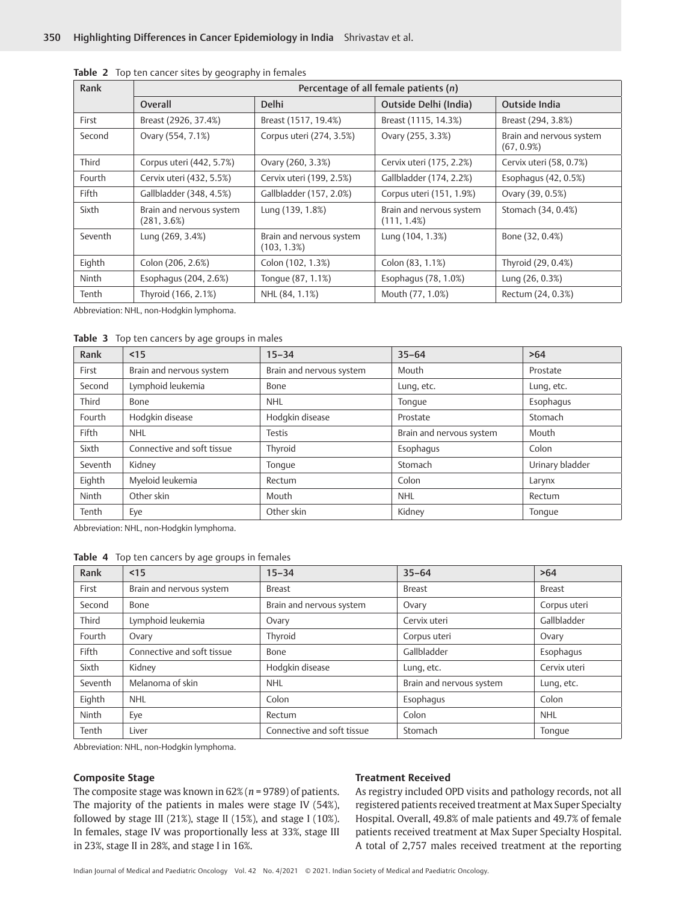| Rank         | Percentage of all female patients (n)   |                                         |                                            |                                           |  |
|--------------|-----------------------------------------|-----------------------------------------|--------------------------------------------|-------------------------------------------|--|
|              | Overall                                 | <b>Delhi</b>                            | Outside Delhi (India)                      | Outside India                             |  |
| First        | Breast (2926, 37.4%)                    | Breast (1517, 19.4%)                    | Breast (1115, 14.3%)                       | Breast (294, 3.8%)                        |  |
| Second       | Ovary (554, 7.1%)                       | Corpus uteri (274, 3.5%)                | Ovary (255, 3.3%)                          | Brain and nervous system<br>$(67, 0.9\%)$ |  |
| Third        | Corpus uteri (442, 5.7%)                | Ovary (260, 3.3%)                       | Cervix uteri (175, 2.2%)                   | Cervix uteri (58, 0.7%)                   |  |
| Fourth       | Cervix uteri (432, 5.5%)                | Cervix uteri (199, 2.5%)                | Gallbladder (174, 2.2%)                    | Esophagus (42, 0.5%)                      |  |
| <b>Fifth</b> | Gallbladder (348, 4.5%)                 | Gallbladder (157, 2.0%)                 | Corpus uteri (151, 1.9%)                   | Ovary (39, 0.5%)                          |  |
| Sixth        | Brain and nervous system<br>(281, 3.6%) | Lung (139, 1.8%)                        | Brain and nervous system<br>$(111, 1.4\%)$ | Stomach (34, 0.4%)                        |  |
| Seventh      | Lung (269, 3.4%)                        | Brain and nervous system<br>(103, 1.3%) | Lung (104, 1.3%)                           | Bone (32, 0.4%)                           |  |
| Eighth       | Colon (206, 2.6%)                       | Colon (102, 1.3%)                       | Colon (83, 1.1%)                           | Thyroid (29, 0.4%)                        |  |
| Ninth        | Esophagus (204, 2.6%)                   | Tonque (87, 1.1%)                       | Esophagus (78, 1.0%)                       | Lung (26, 0.3%)                           |  |
| Tenth        | Thyroid (166, 2.1%)                     | NHL (84, 1.1%)                          | Mouth (77, 1.0%)                           | Rectum (24, 0.3%)                         |  |

**Table 2** Top ten cancer sites by geography in females

Abbreviation: NHL, non-Hodgkin lymphoma.

**Table 3** Top ten cancers by age groups in males

| Rank         | $15$                       | $15 - 34$                | $35 - 64$                | >64             |
|--------------|----------------------------|--------------------------|--------------------------|-----------------|
| First        | Brain and nervous system   | Brain and nervous system | Mouth                    | Prostate        |
| Second       | Lymphoid leukemia          | Bone                     | Lung, etc.               | Lung, etc.      |
| Third        | Bone                       | <b>NHL</b>               | Tonque                   | Esophagus       |
| Fourth       | Hodgkin disease            | Hodgkin disease          | Prostate                 | Stomach         |
| <b>Fifth</b> | <b>NHL</b>                 | Testis                   | Brain and nervous system | Mouth           |
| Sixth        | Connective and soft tissue | Thyroid                  | Esophagus                | Colon           |
| Seventh      | Kidney                     | Tonque                   | Stomach                  | Urinary bladder |
| Eighth       | Myeloid leukemia           | Rectum                   | Colon                    | Larynx          |
| Ninth        | Other skin                 | Mouth                    | <b>NHL</b>               | Rectum          |
| Tenth        | Eye                        | Other skin               | Kidney                   | Tonque          |

Abbreviation: NHL, non-Hodgkin lymphoma.

**Table 4** Top ten cancers by age groups in females

| Rank    | $15$                       | $15 - 34$                  | $35 - 64$                | >64           |
|---------|----------------------------|----------------------------|--------------------------|---------------|
| First   | Brain and nervous system   | <b>Breast</b>              | <b>Breast</b>            | <b>Breast</b> |
| Second  | Bone                       | Brain and nervous system   | Ovary                    | Corpus uteri  |
| Third   | Lymphoid leukemia          | Ovary                      | Cervix uteri             | Gallbladder   |
| Fourth  | Ovary                      | Thyroid                    | Corpus uteri             | Ovary         |
| Fifth   | Connective and soft tissue | Bone                       | Gallbladder              | Esophagus     |
| Sixth   | Kidney                     | Hodgkin disease            | Lung, etc.               | Cervix uteri  |
| Seventh | Melanoma of skin           | <b>NHL</b>                 | Brain and nervous system | Lung, etc.    |
| Eighth  | <b>NHL</b>                 | Colon                      | Esophagus                | Colon         |
| Ninth   | Eye                        | Rectum                     | Colon                    | <b>NHL</b>    |
| Tenth   | Liver                      | Connective and soft tissue | Stomach                  | Tonque        |

Abbreviation: NHL, non-Hodgkin lymphoma.

#### **Composite Stage**

The composite stage was known in 62% (*n* = 9789) of patients. The majority of the patients in males were stage IV (54%), followed by stage III (21%), stage II (15%), and stage I (10%). In females, stage IV was proportionally less at 33%, stage III in 23%, stage II in 28%, and stage I in 16%.

## **Treatment Received**

As registry included OPD visits and pathology records, not all registered patients received treatment at Max Super Specialty Hospital. Overall, 49.8% of male patients and 49.7% of female patients received treatment at Max Super Specialty Hospital. A total of 2,757 males received treatment at the reporting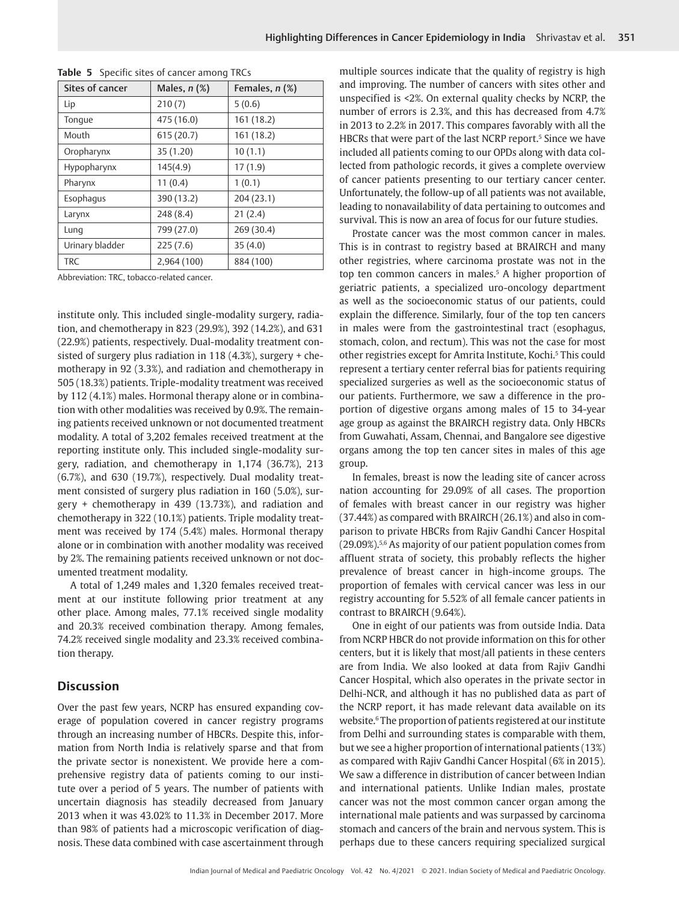| Sites of cancer | Males, n (%) | Females, n (%) |
|-----------------|--------------|----------------|
| Lip             | 210(7)       | 5(0.6)         |
| Tonque          | 475 (16.0)   | 161 (18.2)     |
| Mouth           | 615(20.7)    | 161 (18.2)     |
| Oropharynx      | 35 (1.20)    | 10(1.1)        |
| Hypopharynx     | 145(4.9)     | 17(1.9)        |
| Pharynx         | 11(0.4)      | 1(0.1)         |
| Esophagus       | 390 (13.2)   | 204(23.1)      |
| Larynx          | 248 (8.4)    | 21(2.4)        |
| Lung            | 799 (27.0)   | 269 (30.4)     |
| Urinary bladder | 225(7.6)     | 35(4.0)        |
| <b>TRC</b>      | 2,964 (100)  | 884 (100)      |

|  |  | Table 5 Specific sites of cancer among TRCs |  |  |  |  |  |
|--|--|---------------------------------------------|--|--|--|--|--|
|--|--|---------------------------------------------|--|--|--|--|--|

Abbreviation: TRC, tobacco-related cancer.

institute only. This included single-modality surgery, radiation, and chemotherapy in 823 (29.9%), 392 (14.2%), and 631 (22.9%) patients, respectively. Dual-modality treatment consisted of surgery plus radiation in 118 (4.3%), surgery + chemotherapy in 92 (3.3%), and radiation and chemotherapy in 505 (18.3%) patients. Triple-modality treatment was received by 112 (4.1%) males. Hormonal therapy alone or in combination with other modalities was received by 0.9%. The remaining patients received unknown or not documented treatment modality. A total of 3,202 females received treatment at the reporting institute only. This included single-modality surgery, radiation, and chemotherapy in 1,174 (36.7%), 213 (6.7%), and 630 (19.7%), respectively. Dual modality treatment consisted of surgery plus radiation in 160 (5.0%), surgery + chemotherapy in 439 (13.73%), and radiation and chemotherapy in 322 (10.1%) patients. Triple modality treatment was received by 174 (5.4%) males. Hormonal therapy alone or in combination with another modality was received by 2%. The remaining patients received unknown or not documented treatment modality.

A total of 1,249 males and 1,320 females received treatment at our institute following prior treatment at any other place. Among males, 77.1% received single modality and 20.3% received combination therapy. Among females, 74.2% received single modality and 23.3% received combination therapy.

## **Discussion**

Over the past few years, NCRP has ensured expanding coverage of population covered in cancer registry programs through an increasing number of HBCRs. Despite this, information from North India is relatively sparse and that from the private sector is nonexistent. We provide here a comprehensive registry data of patients coming to our institute over a period of 5 years. The number of patients with uncertain diagnosis has steadily decreased from January 2013 when it was 43.02% to 11.3% in December 2017. More than 98% of patients had a microscopic verification of diagnosis. These data combined with case ascertainment through

multiple sources indicate that the quality of registry is high and improving. The number of cancers with sites other and unspecified is <2%. On external quality checks by NCRP, the number of errors is 2.3%, and this has decreased from 4.7% in 2013 to 2.2% in 2017. This compares favorably with all the HBCRs that were part of the last NCRP report.<sup>5</sup> Since we have included all patients coming to our OPDs along with data collected from pathologic records, it gives a complete overview of cancer patients presenting to our tertiary cancer center. Unfortunately, the follow-up of all patients was not available, leading to nonavailability of data pertaining to outcomes and survival. This is now an area of focus for our future studies.

Prostate cancer was the most common cancer in males. This is in contrast to registry based at BRAIRCH and many other registries, where carcinoma prostate was not in the top ten common cancers in males.<sup>5</sup> A higher proportion of geriatric patients, a specialized uro-oncology department as well as the socioeconomic status of our patients, could explain the difference. Similarly, four of the top ten cancers in males were from the gastrointestinal tract (esophagus, stomach, colon, and rectum). This was not the case for most other registries except for Amrita Institute, Kochi.<sup>5</sup> This could represent a tertiary center referral bias for patients requiring specialized surgeries as well as the socioeconomic status of our patients. Furthermore, we saw a difference in the proportion of digestive organs among males of 15 to 34-year age group as against the BRAIRCH registry data. Only HBCRs from Guwahati, Assam, Chennai, and Bangalore see digestive organs among the top ten cancer sites in males of this age group.

In females, breast is now the leading site of cancer across nation accounting for 29.09% of all cases. The proportion of females with breast cancer in our registry was higher (37.44%) as compared with BRAIRCH (26.1%) and also in comparison to private HBCRs from Rajiv Gandhi Cancer Hospital (29.09%).5,6 As majority of our patient population comes from affluent strata of society, this probably reflects the higher prevalence of breast cancer in high-income groups. The proportion of females with cervical cancer was less in our registry accounting for 5.52% of all female cancer patients in contrast to BRAIRCH (9.64%).

One in eight of our patients was from outside India. Data from NCRP HBCR do not provide information on this for other centers, but it is likely that most/all patients in these centers are from India. We also looked at data from Rajiv Gandhi Cancer Hospital, which also operates in the private sector in Delhi-NCR, and although it has no published data as part of the NCRP report, it has made relevant data available on its website.<sup>6</sup> The proportion of patients registered at our institute from Delhi and surrounding states is comparable with them, but we see a higher proportion of international patients (13%) as compared with Rajiv Gandhi Cancer Hospital (6% in 2015). We saw a difference in distribution of cancer between Indian and international patients. Unlike Indian males, prostate cancer was not the most common cancer organ among the international male patients and was surpassed by carcinoma stomach and cancers of the brain and nervous system. This is perhaps due to these cancers requiring specialized surgical